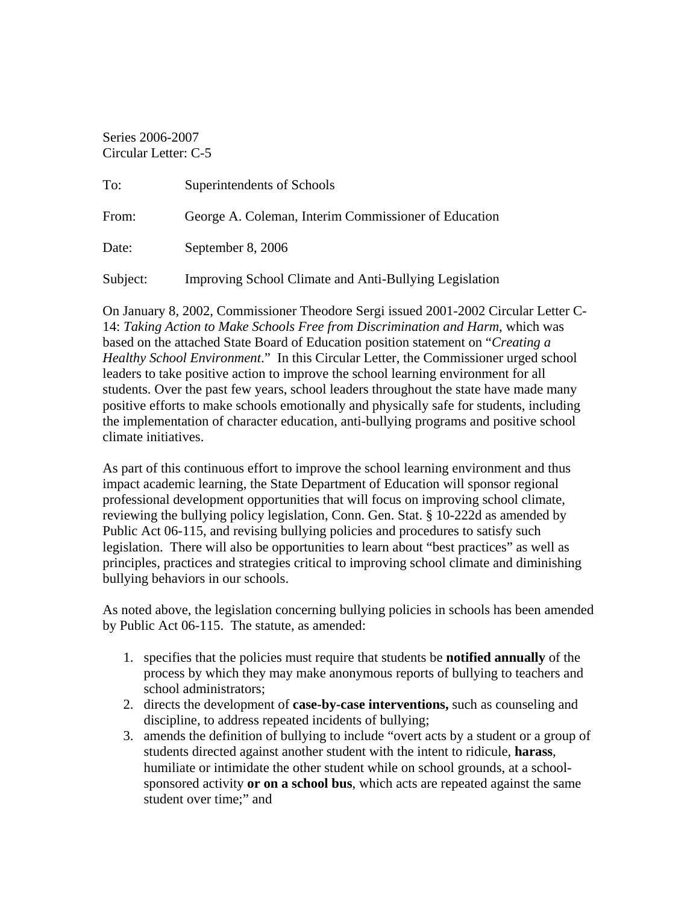Series 2006-2007 Circular Letter: C-5

| To:      | Superintendents of Schools                             |
|----------|--------------------------------------------------------|
| From:    | George A. Coleman, Interim Commissioner of Education   |
| Date:    | September 8, 2006                                      |
| Subject: | Improving School Climate and Anti-Bullying Legislation |

On January 8, 2002, Commissioner Theodore Sergi issued 2001-2002 Circular Letter C-14: *Taking Action to Make Schools Free from Discrimination and Harm*, which was based on the attached State Board of Education position statement on "*Creating a Healthy School Environment*." In this Circular Letter, the Commissioner urged school leaders to take positive action to improve the school learning environment for all students. Over the past few years, school leaders throughout the state have made many positive efforts to make schools emotionally and physically safe for students, including the implementation of character education, anti-bullying programs and positive school climate initiatives.

As part of this continuous effort to improve the school learning environment and thus impact academic learning, the State Department of Education will sponsor regional professional development opportunities that will focus on improving school climate, reviewing the bullying policy legislation, Conn. Gen. Stat. § 10-222d as amended by Public Act 06-115, and revising bullying policies and procedures to satisfy such legislation. There will also be opportunities to learn about "best practices" as well as principles, practices and strategies critical to improving school climate and diminishing bullying behaviors in our schools.

As noted above, the legislation concerning bullying policies in schools has been amended by Public Act 06-115. The statute, as amended:

- 1. specifies that the policies must require that students be **notified annually** of the process by which they may make anonymous reports of bullying to teachers and school administrators;
- 2. directs the development of **case-by-case interventions,** such as counseling and discipline, to address repeated incidents of bullying;
- 3. amends the definition of bullying to include "overt acts by a student or a group of students directed against another student with the intent to ridicule, **harass**, humiliate or intimidate the other student while on school grounds, at a schoolsponsored activity **or on a school bus**, which acts are repeated against the same student over time;" and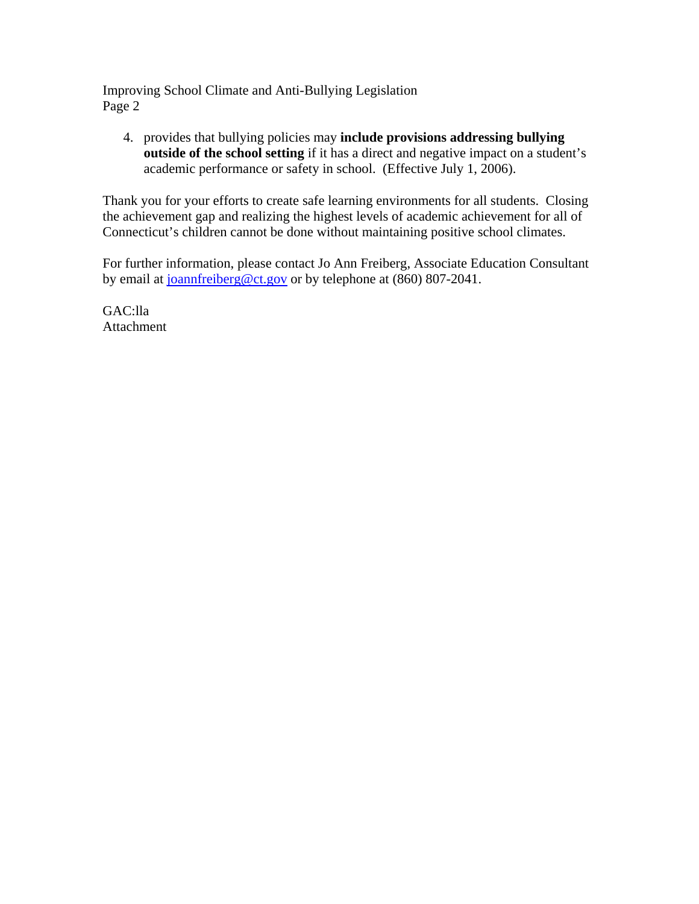Improving School Climate and Anti-Bullying Legislation Page 2

4. provides that bullying policies may **include provisions addressing bullying outside of the school setting** if it has a direct and negative impact on a student's academic performance or safety in school. (Effective July 1, 2006).

Thank you for your efforts to create safe learning environments for all students. Closing the achievement gap and realizing the highest levels of academic achievement for all of Connecticut's children cannot be done without maintaining positive school climates.

For further information, please contact Jo Ann Freiberg, Associate Education Consultant by email at [joannfreiberg@ct.gov](mailto:joannfreiberg@ct.gov) or by telephone at (860) 807-2041.

GAC:lla Attachment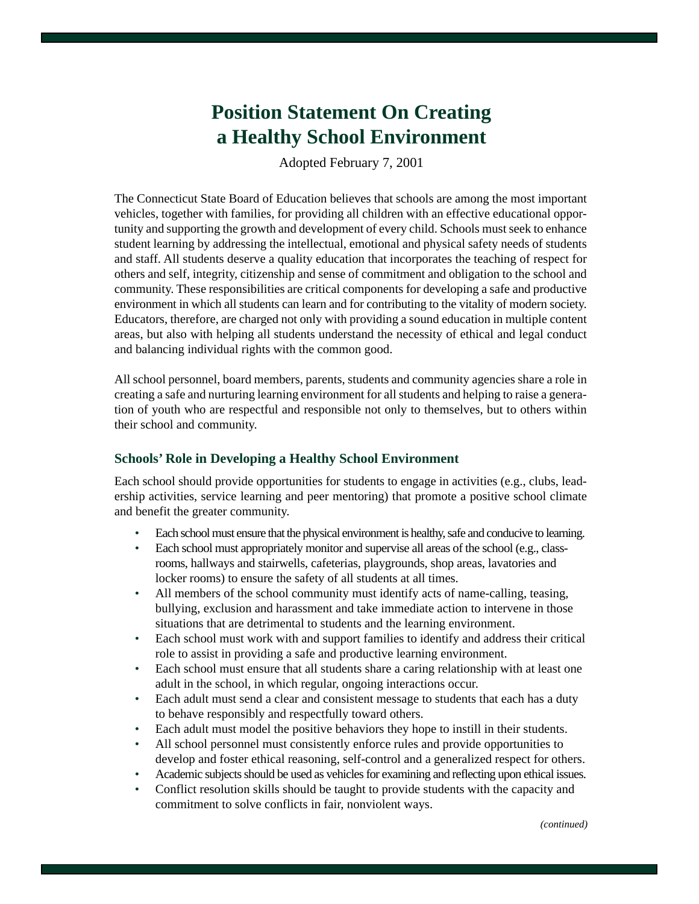# **Position Statement On Creating a Healthy School Environment**

Adopted February 7, 2001

The Connecticut State Board of Education believes that schools are among the most important vehicles, together with families, for providing all children with an effective educational opportunity and supporting the growth and development of every child. Schools must seek to enhance student learning by addressing the intellectual, emotional and physical safety needs of students and staff. All students deserve a quality education that incorporates the teaching of respect for others and self, integrity, citizenship and sense of commitment and obligation to the school and community. These responsibilities are critical components for developing a safe and productive environment in which all students can learn and for contributing to the vitality of modern society. Educators, therefore, are charged not only with providing a sound education in multiple content areas, but also with helping all students understand the necessity of ethical and legal conduct and balancing individual rights with the common good.

All school personnel, board members, parents, students and community agencies share a role in creating a safe and nurturing learning environment for all students and helping to raise a generation of youth who are respectful and responsible not only to themselves, but to others within their school and community.

## **Schools' Role in Developing a Healthy School Environment**

Each school should provide opportunities for students to engage in activities (e.g., clubs, leadership activities, service learning and peer mentoring) that promote a positive school climate and benefit the greater community.

- Each school must ensure that the physical environment is healthy, safe and conducive to learning.
- Each school must appropriately monitor and supervise all areas of the school (e.g., classrooms, hallways and stairwells, cafeterias, playgrounds, shop areas, lavatories and locker rooms) to ensure the safety of all students at all times.
- • All members of the school community must identify acts of name-calling, teasing, bullying, exclusion and harassment and take immediate action to intervene in those situations that are detrimental to students and the learning environment.
- Each school must work with and support families to identify and address their critical role to assist in providing a safe and productive learning environment.
- Each school must ensure that all students share a caring relationship with at least one adult in the school, in which regular, ongoing interactions occur.
- Each adult must send a clear and consistent message to students that each has a duty to behave responsibly and respectfully toward others.
- Each adult must model the positive behaviors they hope to instill in their students.
- All school personnel must consistently enforce rules and provide opportunities to develop and foster ethical reasoning, self-control and a generalized respect for others.
- Academic subjects should be used as vehicles for examining and reflecting upon ethical issues.
- Conflict resolution skills should be taught to provide students with the capacity and commitment to solve conflicts in fair, nonviolent ways.